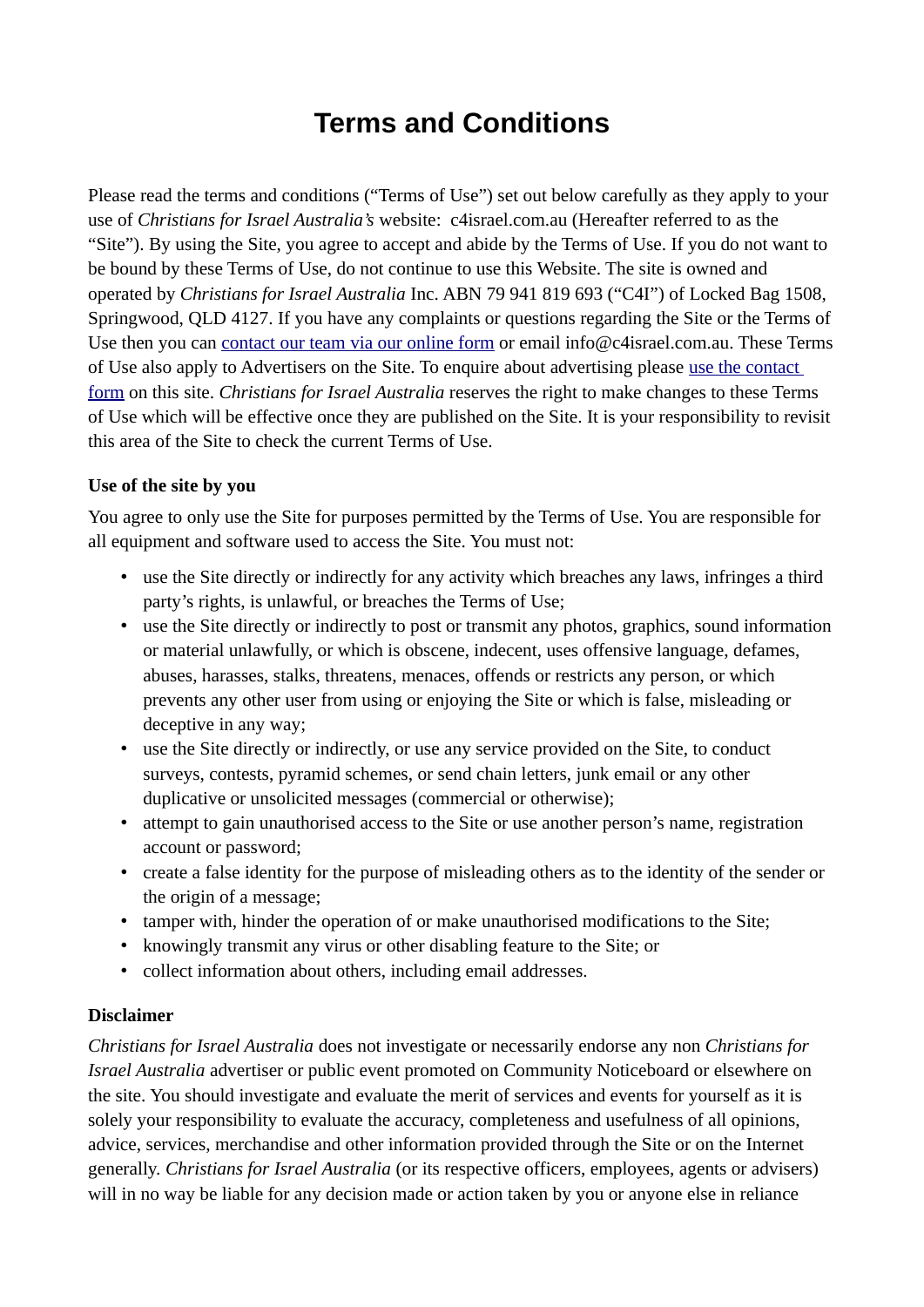# **Terms and Conditions**

Please read the terms and conditions ("Terms of Use") set out below carefully as they apply to your use of *Christians for Israel Australia's* website: c4israel.com.au (Hereafter referred to as the "Site"). By using the Site, you agree to accept and abide by the Terms of Use. If you do not want to be bound by these Terms of Use, do not continue to use this Website. The site is owned and operated by *Christians for Israel Australia* Inc. ABN 79 941 819 693 ("C4I") of Locked Bag 1508, Springwood, QLD 4127. If you have any complaints or questions regarding the Site or the Terms of Use then you can [contact our team via our online form](https://c4israel.com.au/contact) or email info@c4israel.com.au. These Terms of Use also apply to Advertisers on the Site. To enquire about advertising please [use the contact](https://c4israel.com.au/contact)  [form](https://c4israel.com.au/contact) on this site. *Christians for Israel Australia* reserves the right to make changes to these Terms of Use which will be effective once they are published on the Site. It is your responsibility to revisit this area of the Site to check the current Terms of Use.

#### **Use of the site by you**

You agree to only use the Site for purposes permitted by the Terms of Use. You are responsible for all equipment and software used to access the Site. You must not:

- use the Site directly or indirectly for any activity which breaches any laws, infringes a third party's rights, is unlawful, or breaches the Terms of Use;
- use the Site directly or indirectly to post or transmit any photos, graphics, sound information or material unlawfully, or which is obscene, indecent, uses offensive language, defames, abuses, harasses, stalks, threatens, menaces, offends or restricts any person, or which prevents any other user from using or enjoying the Site or which is false, misleading or deceptive in any way;
- use the Site directly or indirectly, or use any service provided on the Site, to conduct surveys, contests, pyramid schemes, or send chain letters, junk email or any other duplicative or unsolicited messages (commercial or otherwise);
- attempt to gain unauthorised access to the Site or use another person's name, registration account or password;
- create a false identity for the purpose of misleading others as to the identity of the sender or the origin of a message;
- tamper with, hinder the operation of or make unauthorised modifications to the Site;
- knowingly transmit any virus or other disabling feature to the Site; or
- collect information about others, including email addresses.

#### **Disclaimer**

*Christians for Israel Australia* does not investigate or necessarily endorse any non *Christians for Israel Australia* advertiser or public event promoted on Community Noticeboard or elsewhere on the site. You should investigate and evaluate the merit of services and events for yourself as it is solely your responsibility to evaluate the accuracy, completeness and usefulness of all opinions, advice, services, merchandise and other information provided through the Site or on the Internet generally. *Christians for Israel Australia* (or its respective officers, employees, agents or advisers) will in no way be liable for any decision made or action taken by you or anyone else in reliance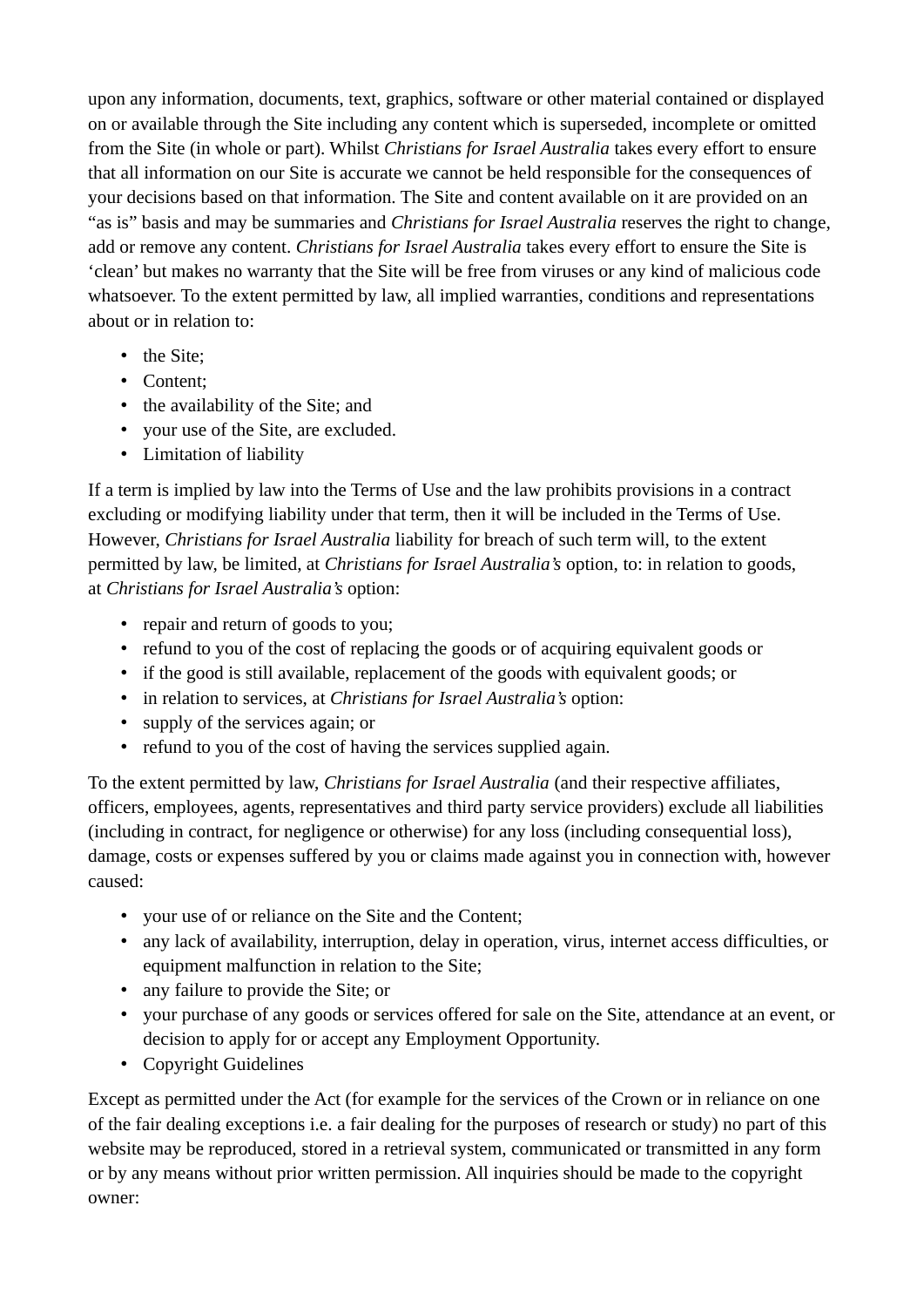upon any information, documents, text, graphics, software or other material contained or displayed on or available through the Site including any content which is superseded, incomplete or omitted from the Site (in whole or part). Whilst *Christians for Israel Australia* takes every effort to ensure that all information on our Site is accurate we cannot be held responsible for the consequences of your decisions based on that information. The Site and content available on it are provided on an "as is" basis and may be summaries and *Christians for Israel Australia* reserves the right to change, add or remove any content. *Christians for Israel Australia* takes every effort to ensure the Site is 'clean' but makes no warranty that the Site will be free from viruses or any kind of malicious code whatsoever. To the extent permitted by law, all implied warranties, conditions and representations about or in relation to:

- the Site:
- Content;
- the availability of the Site; and
- your use of the Site, are excluded.
- Limitation of liability

If a term is implied by law into the Terms of Use and the law prohibits provisions in a contract excluding or modifying liability under that term, then it will be included in the Terms of Use. However, *Christians for Israel Australia* liability for breach of such term will, to the extent permitted by law, be limited, at *Christians for Israel Australia's* option, to: in relation to goods, at *Christians for Israel Australia's* option:

- repair and return of goods to you;
- refund to you of the cost of replacing the goods or of acquiring equivalent goods or
- if the good is still available, replacement of the goods with equivalent goods; or
- in relation to services, at *Christians for Israel Australia's* option:
- supply of the services again; or
- refund to you of the cost of having the services supplied again.

To the extent permitted by law, *Christians for Israel Australia* (and their respective affiliates, officers, employees, agents, representatives and third party service providers) exclude all liabilities (including in contract, for negligence or otherwise) for any loss (including consequential loss), damage, costs or expenses suffered by you or claims made against you in connection with, however caused:

- your use of or reliance on the Site and the Content;
- any lack of availability, interruption, delay in operation, virus, internet access difficulties, or equipment malfunction in relation to the Site;
- any failure to provide the Site; or
- your purchase of any goods or services offered for sale on the Site, attendance at an event, or decision to apply for or accept any Employment Opportunity.
- Copyright Guidelines

Except as permitted under the Act (for example for the services of the Crown or in reliance on one of the fair dealing exceptions i.e. a fair dealing for the purposes of research or study) no part of this website may be reproduced, stored in a retrieval system, communicated or transmitted in any form or by any means without prior written permission. All inquiries should be made to the copyright owner: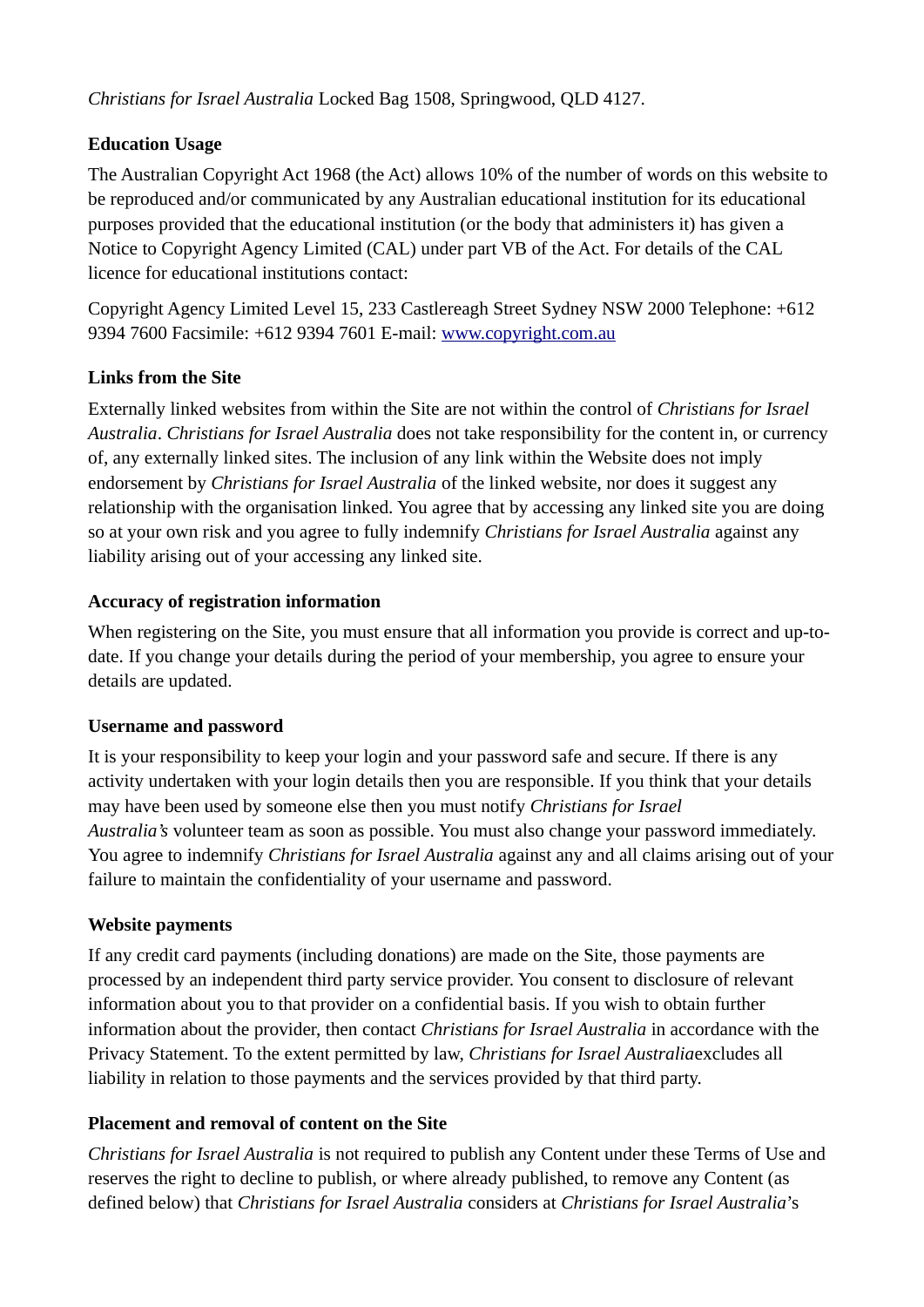*Christians for Israel Australia* Locked Bag 1508, Springwood, QLD 4127.

# **Education Usage**

The Australian Copyright Act 1968 (the Act) allows 10% of the number of words on this website to be reproduced and/or communicated by any Australian educational institution for its educational purposes provided that the educational institution (or the body that administers it) has given a Notice to Copyright Agency Limited (CAL) under part VB of the Act. For details of the CAL licence for educational institutions contact:

Copyright Agency Limited Level 15, 233 Castlereagh Street Sydney NSW 2000 Telephone: +612 9394 7600 Facsimile: +612 9394 7601 E-mail: [www.copyright.com.au](http://www.copyright.com.au/)

# **Links from the Site**

Externally linked websites from within the Site are not within the control of *Christians for Israel Australia*. *Christians for Israel Australia* does not take responsibility for the content in, or currency of, any externally linked sites. The inclusion of any link within the Website does not imply endorsement by *Christians for Israel Australia* of the linked website, nor does it suggest any relationship with the organisation linked. You agree that by accessing any linked site you are doing so at your own risk and you agree to fully indemnify *Christians for Israel Australia* against any liability arising out of your accessing any linked site.

## **Accuracy of registration information**

When registering on the Site, you must ensure that all information you provide is correct and up-todate. If you change your details during the period of your membership, you agree to ensure your details are updated.

#### **Username and password**

It is your responsibility to keep your login and your password safe and secure. If there is any activity undertaken with your login details then you are responsible. If you think that your details may have been used by someone else then you must notify *Christians for Israel Australia's* volunteer team as soon as possible. You must also change your password immediately. You agree to indemnify *Christians for Israel Australia* against any and all claims arising out of your failure to maintain the confidentiality of your username and password.

#### **Website payments**

If any credit card payments (including donations) are made on the Site, those payments are processed by an independent third party service provider. You consent to disclosure of relevant information about you to that provider on a confidential basis. If you wish to obtain further information about the provider, then contact *Christians for Israel Australia* in accordance with the Privacy Statement. To the extent permitted by law, *Christians for Israel Australia*excludes all liability in relation to those payments and the services provided by that third party.

# **Placement and removal of content on the Site**

*Christians for Israel Australia* is not required to publish any Content under these Terms of Use and reserves the right to decline to publish, or where already published, to remove any Content (as defined below) that *Christians for Israel Australia* considers at *Christians for Israel Australia*'s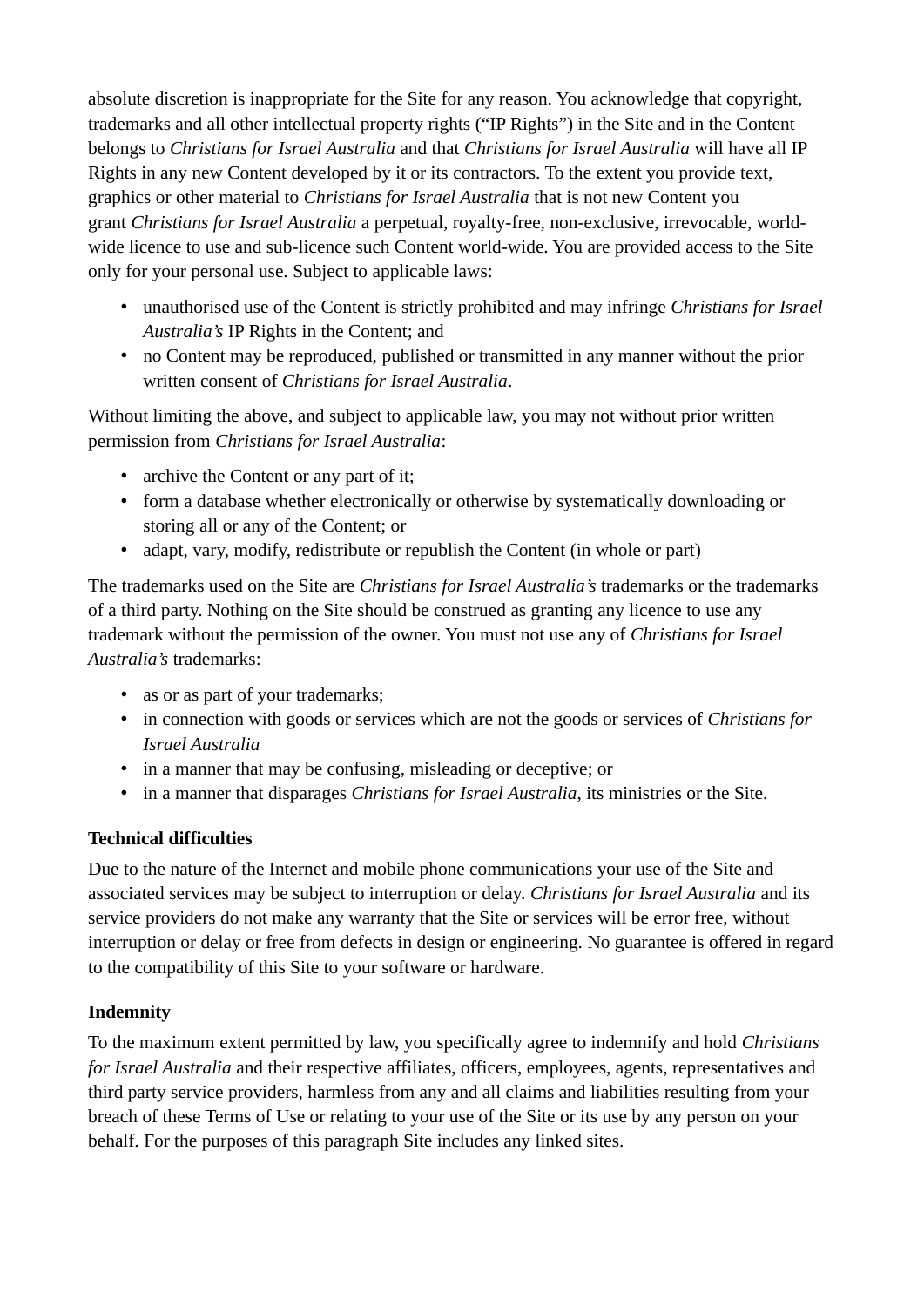absolute discretion is inappropriate for the Site for any reason. You acknowledge that copyright, trademarks and all other intellectual property rights ("IP Rights") in the Site and in the Content belongs to *Christians for Israel Australia* and that *Christians for Israel Australia* will have all IP Rights in any new Content developed by it or its contractors. To the extent you provide text, graphics or other material to *Christians for Israel Australia* that is not new Content you grant *Christians for Israel Australia* a perpetual, royalty-free, non-exclusive, irrevocable, worldwide licence to use and sub-licence such Content world-wide. You are provided access to the Site only for your personal use. Subject to applicable laws:

- unauthorised use of the Content is strictly prohibited and may infringe *Christians for Israel Australia's* IP Rights in the Content; and
- no Content may be reproduced, published or transmitted in any manner without the prior written consent of *Christians for Israel Australia*.

Without limiting the above, and subject to applicable law, you may not without prior written permission from *Christians for Israel Australia*:

- archive the Content or any part of it;
- form a database whether electronically or otherwise by systematically downloading or storing all or any of the Content; or
- adapt, vary, modify, redistribute or republish the Content (in whole or part)

The trademarks used on the Site are *Christians for Israel Australia's* trademarks or the trademarks of a third party. Nothing on the Site should be construed as granting any licence to use any trademark without the permission of the owner. You must not use any of *Christians for Israel Australia's* trademarks:

- as or as part of your trademarks;
- in connection with goods or services which are not the goods or services of *Christians for Israel Australia*
- in a manner that may be confusing, misleading or deceptive; or
- in a manner that disparages *Christians for Israel Australia*, its ministries or the Site.

# **Technical difficulties**

Due to the nature of the Internet and mobile phone communications your use of the Site and associated services may be subject to interruption or delay. *Christians for Israel Australia* and its service providers do not make any warranty that the Site or services will be error free, without interruption or delay or free from defects in design or engineering. No guarantee is offered in regard to the compatibility of this Site to your software or hardware.

# **Indemnity**

To the maximum extent permitted by law, you specifically agree to indemnify and hold *Christians for Israel Australia* and their respective affiliates, officers, employees, agents, representatives and third party service providers, harmless from any and all claims and liabilities resulting from your breach of these Terms of Use or relating to your use of the Site or its use by any person on your behalf. For the purposes of this paragraph Site includes any linked sites.